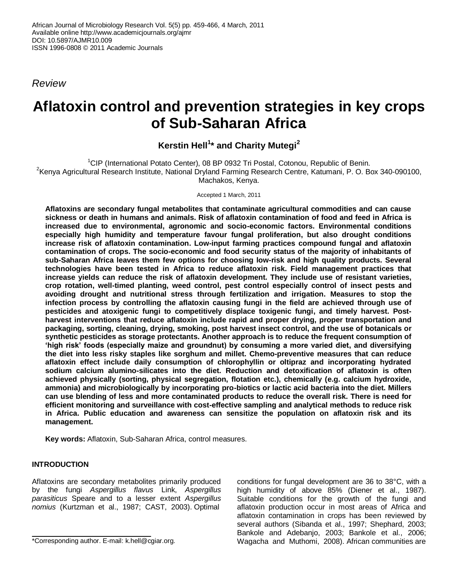*Review*

# **Aflatoxin control and prevention strategies in key crops of Sub-Saharan Africa**

# **Kerstin Hell<sup>1</sup> \* and Charity Mutegi<sup>2</sup>**

<sup>1</sup>CIP (International Potato Center), 08 BP 0932 Tri Postal, Cotonou, Republic of Benin. <sup>2</sup>Kenya Agricultural Research Institute, National Dryland Farming Research Centre, Katumani, P. O. Box 340-090100, Machakos, Kenya.

Accepted 1 March, 2011

**Aflatoxins are secondary fungal metabolites that contaminate agricultural commodities and can cause sickness or death in humans and animals. Risk of aflatoxin contamination of food and feed in Africa is increased due to environmental, agronomic and socio-economic factors. Environmental conditions especially high humidity and temperature favour fungal proliferation, but also drought conditions increase risk of aflatoxin contamination. Low-input farming practices compound fungal and aflatoxin contamination of crops. The socio-economic and food security status of the majority of inhabitants of sub-Saharan Africa leaves them few options for choosing low-risk and high quality products. Several technologies have been tested in Africa to reduce aflatoxin risk. Field management practices that increase yields can reduce the risk of aflatoxin development. They include use of resistant varieties, crop rotation, well-timed planting, weed control, pest control especially control of insect pests and avoiding drought and nutritional stress through fertilization and irrigation. Measures to stop the infection process by controlling the aflatoxin causing fungi in the field are achieved through use of pesticides and atoxigenic fungi to competitively displace toxigenic fungi, and timely harvest. Postharvest interventions that reduce aflatoxin include rapid and proper drying, proper transportation and packaging, sorting, cleaning, drying, smoking, post harvest insect control, and the use of botanicals or synthetic pesticides as storage protectants. Another approach is to reduce the frequent consumption of 'high risk' foods (especially maize and groundnut) by consuming a more varied diet, and diversifying the diet into less risky staples like sorghum and millet. Chemo-preventive measures that can reduce aflatoxin effect include daily consumption of chlorophyllin or oltipraz and incorporating hydrated sodium calcium alumino-silicates into the diet. Reduction and detoxification of aflatoxin is often achieved physically (sorting, physical segregation, flotation etc.), chemically (e.g. calcium hydroxide, ammonia) and microbiologically by incorporating pro-biotics or lactic acid bacteria into the diet. Millers can use blending of less and more contaminated products to reduce the overall risk. There is need for efficient monitoring and surveillance with cost-effective sampling and analytical methods to reduce risk in Africa. Public education and awareness can sensitize the population on aflatoxin risk and its management.** 

**Key words:** Aflatoxin, Sub-Saharan Africa, control measures.

# **INTRODUCTION**

Aflatoxins are secondary metabolites primarily produced by the fungi *Aspergillus flavus* Link, *Aspergillus parasiticus* Speare and to a lesser extent *Aspergillus nomius* (Kurtzman et al., 1987; CAST, 2003). Optimal

conditions for fungal development are 36 to 38°C, with a high humidity of above 85% (Diener et al., 1987). Suitable conditions for the growth of the fungi and aflatoxin production occur in most areas of Africa and aflatoxin contamination in crops has been reviewed by several authors (Sibanda et al., 1997; Shephard, 2003; Bankole and Adebanjo, 2003; Bankole et al., 2006; Wagacha and Muthomi, 2008). African communities are

<sup>\*</sup>Corresponding author. E-mail: k.hell@cgiar.org.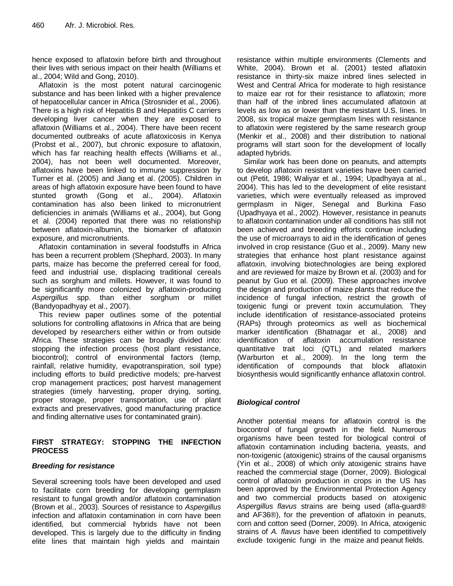hence exposed to aflatoxin before birth and throughout their lives with serious impact on their health (Williams et al., 2004; Wild and Gong, 2010).

Aflatoxin is the most potent natural carcinogenic substance and has been linked with a higher prevalence of hepatocellular cancer in Africa (Strosnider et al., 2006). There is a high risk of Hepatitis B and Hepatitis C carriers developing liver cancer when they are exposed to aflatoxin (Williams et al., 2004). There have been recent documented outbreaks of acute aflatoxicosis in Kenya (Probst et al., 2007), but chronic exposure to aflatoxin, which has far reaching health effects (Williams et al., 2004), has not been well documented. Moreover, aflatoxins have been linked to immune suppression by Turner et al. (2005) and Jiang et al. (2005). Children in areas of high aflatoxin exposure have been found to have stunted growth (Gong et al., 2004). Aflatoxin contamination has also been linked to micronutrient deficiencies in animals (Williams et al., 2004), but Gong et al. (2004) reported that there was no relationship between aflatoxin-albumin, the biomarker of aflatoxin exposure, and micronutrients.

Aflatoxin contamination in several foodstuffs in Africa has been a recurrent problem (Shephard, 2003). In many parts, maize has become the preferred cereal for food, feed and industrial use, displacing traditional cereals such as sorghum and millets. However, it was found to be significantly more colonized by aflatoxin-producing *Aspergillus* spp. than either sorghum or millet (Bandyopadhyay et al., 2007).

This review paper outlines some of the potential solutions for controlling aflatoxins in Africa that are being developed by researchers either within or from outside Africa. These strategies can be broadly divided into: stopping the infection process (host plant resistance, biocontrol); control of environmental factors (temp, rainfall, relative humidity, evapotranspiration, soil type) including efforts to build predictive models; pre-harvest crop management practices; post harvest management strategies (timely harvesting, proper drying, sorting, proper storage, proper transportation, use of plant extracts and preservatives, good manufacturing practice and finding alternative uses for contaminated grain).

#### **FIRST STRATEGY: STOPPING THE INFECTION PROCESS**

# *Breeding for resistance*

Several screening tools have been developed and used to facilitate corn breeding for developing germplasm resistant to fungal growth and/or aflatoxin contamination (Brown et al., 2003). Sources of resistance to *Aspergillus* infection and aflatoxin contamination in corn have been identified, but commercial hybrids have not been developed. This is largely due to the difficulty in finding elite lines that maintain high yields and maintain

resistance within multiple environments (Clements and White, 2004). Brown et al. (2001) tested aflatoxin resistance in thirty-six maize inbred lines selected in West and Central Africa for moderate to high resistance to maize ear rot for their resistance to aflatoxin; more than half of the inbred lines accumulated aflatoxin at levels as low as or lower than the resistant U.S. lines. In 2008, six tropical maize germplasm lines with resistance to aflatoxin were registered by the same research group (Menkir et al., 2008) and their distribution to national programs will start soon for the development of locally adapted hybrids.

Similar work has been done on peanuts, and attempts to develop aflatoxin resistant varieties have been carried out (Petit, 1986; Waliyar et al., 1994; Upadhyaya at al., 2004). This has led to the development of elite resistant varieties, which were eventually released as improved germplasm in Niger, Senegal and Burkina Faso (Upadhyaya et al., 2002). However, resistance in peanuts to aflatoxin contamination under all conditions has still not been achieved and breeding efforts continue including the use of microarrays to aid in the identification of genes involved in crop resistance (Guo et al., 2009). Many new strategies that enhance host plant resistance against aflatoxin, involving biotechnologies are being explored and are reviewed for maize by Brown et al. (2003) and for peanut by Guo et al. (2009). These approaches involve the design and production of maize plants that reduce the incidence of fungal infection, restrict the growth of toxigenic fungi or prevent toxin accumulation. They include identification of resistance-associated proteins (RAPs) through proteomics as well as biochemical marker identification (Bhatnagar et al., 2008) and identification of aflatoxin accumulation resistance quantitative trait loci (QTL) and related markers (Warburton et al., 2009). In the long term the identification of compounds that block aflatoxin biosynthesis would significantly enhance aflatoxin control.

# *Biological control*

Another potential means for aflatoxin control is the biocontrol of fungal growth in the field. Numerous organisms have been tested for biological control of aflatoxin contamination including bacteria, yeasts, and non-toxigenic (atoxigenic) strains of the causal organisms (Yin et al., 2008) of which only atoxigenic strains have reached the commercial stage (Dorner, 2009). Biological control of aflatoxin production in crops in the US has been approved by the Environmental Protection Agency and two commercial products based on atoxigenic *Aspergillus flavus* strains are being used (afla-guard® and AF36®), for the prevention of aflatoxin in peanuts, corn and cotton seed (Dorner, 2009). In Africa, atoxigenic strains of *A. flavus* have been identified to competitively exclude toxigenic fungi in the maize and peanut fields.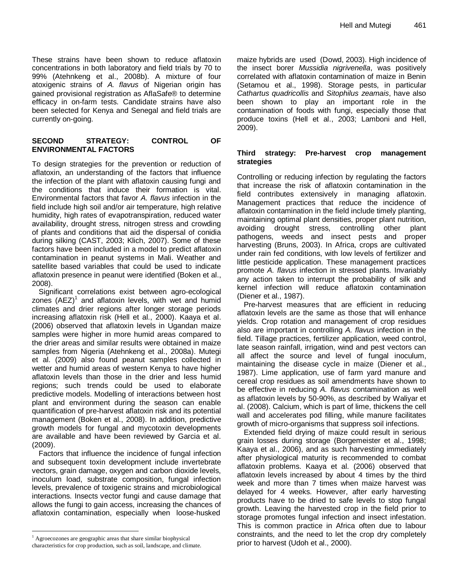These strains have been shown to reduce aflatoxin concentrations in both laboratory and field trials by 70 to 99% (Atehnkeng et al., 2008b). A mixture of four atoxigenic strains of *A. flavus* of Nigerian origin has gained provisional registration as AflaSafe® to determine efficacy in on-farm tests. Candidate strains have also been selected for Kenya and Senegal and field trials are currently on-going.

#### **SECOND STRATEGY: CONTROL OF ENVIRONMENTAL FACTORS**

To design strategies for the prevention or reduction of aflatoxin, an understanding of the factors that influence the infection of the plant with aflatoxin causing fungi and the conditions that induce their formation is vital. Environmental factors that favor *A. flavus* infection in the field include high soil and/or air temperature, high relative humidity, high rates of evapotranspiration, reduced water availability, drought stress, nitrogen stress and crowding of plants and conditions that aid the dispersal of conidia during silking (CAST, 2003; Klich, 2007). Some of these factors have been included in a model to predict aflatoxin contamination in peanut systems in Mali. Weather and satellite based variables that could be used to indicate aflatoxin presence in peanut were identified (Boken et al., 2008).

Significant correlations exist between agro-ecological zones (AEZ)<sup>1</sup> and aflatoxin levels, with wet and humid climates and drier regions after longer storage periods increasing aflatoxin risk (Hell et al., 2000). Kaaya et al. (2006) observed that aflatoxin levels in Ugandan maize samples were higher in more humid areas compared to the drier areas and similar results were obtained in maize samples from Nigeria (Atehnkeng et al., 2008a). Mutegi et al. (2009) also found peanut samples collected in wetter and humid areas of western Kenya to have higher aflatoxin levels than those in the drier and less humid regions; such trends could be used to elaborate predictive models. Modelling of interactions between host plant and environment during the season can enable quantification of pre-harvest aflatoxin risk and its potential management (Boken et al., 2008). In addition, predictive growth models for fungal and mycotoxin developments are available and have been reviewed by Garcia et al. (2009).

Factors that influence the incidence of fungal infection and subsequent toxin development include invertebrate vectors, grain damage, oxygen and carbon dioxide levels, inoculum load, substrate composition, fungal infection levels, prevalence of toxigenic strains and microbiological interactions. Insects vector fungi and cause damage that allows the fungi to gain access, increasing the chances of aflatoxin contamination, especially when loose-husked maize hybrids are used (Dowd, 2003). High incidence of the insect borer *Mussidia nigrivenella*, was positively correlated with aflatoxin contamination of maize in Benin (Setamou et al., 1998). Storage pests, in particular *Cathartus quadricollis* and *Sitophilus zeamais*, have also been shown to play an important role in the contamination of foods with fungi, especially those that produce toxins (Hell et al., 2003; Lamboni and Hell, 2009).

#### **Third strategy: Pre-harvest crop management strategies**

Controlling or reducing infection by regulating the factors that increase the risk of aflatoxin contamination in the field contributes extensively in managing aflatoxin. Management practices that reduce the incidence of aflatoxin contamination in the field include timely planting, maintaining optimal plant densities, proper plant nutrition, avoiding drought stress, controlling other plant pathogens, weeds and insect pests and proper harvesting (Bruns, 2003). In Africa, crops are cultivated under rain fed conditions, with low levels of fertilizer and little pesticide application. These management practices promote *A. flavus* infection in stressed plants. Invariably any action taken to interrupt the probability of silk and kernel infection will reduce aflatoxin contamination (Diener et al., 1987).

Pre-harvest measures that are efficient in reducing aflatoxin levels are the same as those that will enhance yields. Crop rotation and management of crop residues also are important in controlling *A. flavus* infection in the field. Tillage practices, fertilizer application, weed control, late season rainfall, irrigation, wind and pest vectors can all affect the source and level of fungal inoculum, maintaining the disease cycle in maize (Diener et al., 1987). Lime application, use of farm yard manure and cereal crop residues as soil amendments have shown to be effective in reducing *A. flavus* contamination as well as aflatoxin levels by 50-90%, as described by Waliyar et al. (2008). Calcium, which is part of lime, thickens the cell wall and accelerates pod filling, while manure facilitates growth of micro-organisms that suppress soil infections.

Extended field drying of maize could result in serious grain losses during storage (Borgemeister et al., 1998; Kaaya et al., 2006), and as such harvesting immediately after physiological maturity is recommended to combat aflatoxin problems. Kaaya et al. (2006) observed that aflatoxin levels increased by about 4 times by the third week and more than 7 times when maize harvest was delayed for 4 weeks. However, after early harvesting products have to be dried to safe levels to stop fungal growth. Leaving the harvested crop in the field prior to storage promotes fungal infection and insect infestation. This is common practice in Africa often due to labour constraints, and the need to let the crop dry completely prior to harvest (Udoh et al., 2000).

 $\overline{a}$ <sup>1</sup> Agroecozones are geographic areas that share similar biophysical characteristics for crop production, such as soil, landscape, and climate.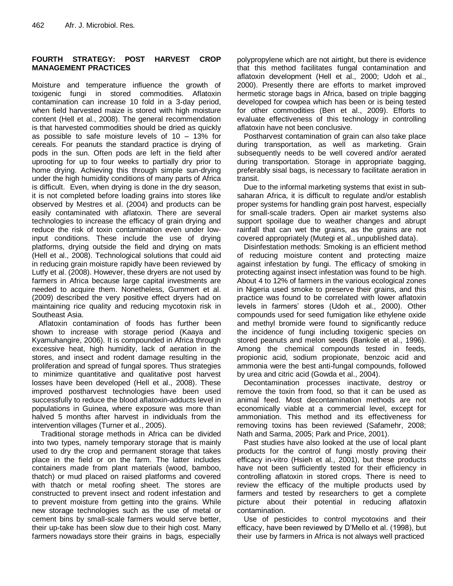### **FOURTH STRATEGY: POST HARVEST CROP MANAGEMENT PRACTICES**

Moisture and temperature influence the growth of toxigenic fungi in stored commodities. Aflatoxin contamination can increase 10 fold in a 3-day period, when field harvested maize is stored with high moisture content (Hell et al., 2008). The general recommendation is that harvested commodities should be dried as quickly as possible to safe moisture levels of 10 – 13% for cereals. For peanuts the standard practice is drying of pods in the sun. Often pods are left in the field after uprooting for up to four weeks to partially dry prior to home drying. Achieving this through simple sun-drying under the high humidity conditions of many parts of Africa is difficult. Even, when drying is done in the dry season, it is not completed before loading grains into stores like observed by Mestres et al. (2004) and products can be easily contaminated with aflatoxin. There are several technologies to increase the efficacy of grain drying and reduce the risk of toxin contamination even under lowinput conditions. These include the use of drying platforms, drying outside the field and drying on mats (Hell et al., 2008). Technological solutions that could aid in reducing grain moisture rapidly have been reviewed by Lutfy et al. (2008). However, these dryers are not used by farmers in Africa because large capital investments are needed to acquire them. Nonetheless, Gummert et al. (2009) described the very positive effect dryers had on maintaining rice quality and reducing mycotoxin risk in Southeast Asia.

Aflatoxin contamination of foods has further been shown to increase with storage period (Kaaya and Kyamuhangire, 2006). It is compounded in Africa through excessive heat, high humidity, lack of aeration in the stores, and insect and rodent damage resulting in the proliferation and spread of fungal spores. Thus strategies to minimize quantitative and qualitative post harvest losses have been developed (Hell et al., 2008). These improved postharvest technologies have been used successfully to reduce the blood aflatoxin-adducts level in populations in Guinea, where exposure was more than halved 5 months after harvest in individuals from the intervention villages (Turner et al., 2005).

Traditional storage methods in Africa can be divided into two types, namely temporary storage that is mainly used to dry the crop and permanent storage that takes place in the field or on the farm. The latter includes containers made from plant materials (wood, bamboo, thatch) or mud placed on raised platforms and covered with thatch or metal roofing sheet. The stores are constructed to prevent insect and rodent infestation and to prevent moisture from getting into the grains. While new storage technologies such as the use of metal or cement bins by small-scale farmers would serve better, their up-take has been slow due to their high cost. Many farmers nowadays store their grains in bags, especially

polypropylene which are not airtight, but there is evidence that this method facilitates fungal contamination and aflatoxin development (Hell et al., 2000; Udoh et al., 2000). Presently there are efforts to market improved hermetic storage bags in Africa, based on triple bagging developed for cowpea which has been or is being tested for other commodities (Ben et al., 2009). Efforts to evaluate effectiveness of this technology in controlling aflatoxin have not been conclusive.

Postharvest contamination of grain can also take place during transportation, as well as marketing. Grain subsequently needs to be well covered and/or aerated during transportation. Storage in appropriate bagging, preferably sisal bags, is necessary to facilitate aeration in transit.

Due to the informal marketing systems that exist in subsaharan Africa, it is difficult to regulate and/or establish proper systems for handling grain post harvest, especially for small-scale traders. Open air market systems also support spoilage due to weather changes and abrupt rainfall that can wet the grains, as the grains are not covered appropriately (Mutegi et al., unpublished data).

Disinfestation methods: Smoking is an efficient method of reducing moisture content and protecting maize against infestation by fungi. The efficacy of smoking in protecting against insect infestation was found to be high. About 4 to 12% of farmers in the various ecological zones in Nigeria used smoke to preserve their grains, and this practice was found to be correlated with lower aflatoxin levels in farmers' stores (Udoh et al., 2000). Other compounds used for seed fumigation like ethylene oxide and methyl bromide were found to significantly reduce the incidence of fungi including toxigenic species on stored peanuts and melon seeds (Bankole et al., 1996). Among the chemical compounds tested in feeds, propionic acid, sodium propionate, benzoic acid and ammonia were the best anti-fungal compounds, followed by urea and citric acid (Gowda et al., 2004).

Decontamination processes inactivate, destroy or remove the toxin from food, so that it can be used as animal feed. Most decontamination methods are not economically viable at a commercial level, except for ammoniation. This method and its effectiveness for removing toxins has been reviewed (Safamehr, 2008; Nath and Sarma, 2005; Park and Price, 2001).

Past studies have also looked at the use of local plant products for the control of fungi mostly proving their efficacy in-vitro (Hsieh et al., 2001), but these products have not been sufficiently tested for their efficiency in controlling aflatoxin in stored crops. There is need to review the efficacy of the multiple products used by farmers and tested by researchers to get a complete picture about their potential in reducing aflatoxin contamination.

Use of pesticides to control mycotoxins and their efficacy, have been reviewed by D'Mello et al. (1998), but their use by farmers in Africa is not always well practiced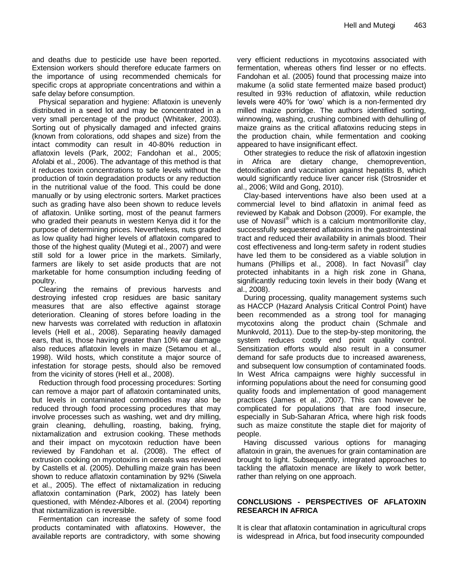and deaths due to pesticide use have been reported. Extension workers should therefore educate farmers on the importance of using recommended chemicals for specific crops at appropriate concentrations and within a safe delay before consumption.

Physical separation and hygiene: Aflatoxin is unevenly distributed in a seed lot and may be concentrated in a very small percentage of the product (Whitaker, 2003). Sorting out of physically damaged and infected grains (known from colorations, odd shapes and size) from the intact commodity can result in 40-80% reduction in aflatoxin levels (Park, 2002; Fandohan et al., 2005; Afolabi et al., 2006). The advantage of this method is that it reduces toxin concentrations to safe levels without the production of toxin degradation products or any reduction in the nutritional value of the food. This could be done manually or by using electronic sorters. Market practices such as grading have also been shown to reduce levels of aflatoxin. Unlike sorting, most of the peanut farmers who graded their peanuts in western Kenya did it for the purpose of determining prices. Nevertheless, nuts graded as low quality had higher levels of aflatoxin compared to those of the highest quality (Mutegi et al., 2007) and were still sold for a lower price in the markets. Similarly, farmers are likely to set aside products that are not marketable for home consumption including feeding of poultry.

Clearing the remains of previous harvests and destroying infested crop residues are basic sanitary measures that are also effective against storage deterioration. Cleaning of stores before loading in the new harvests was correlated with reduction in aflatoxin levels (Hell et al., 2008). Separating heavily damaged ears, that is, those having greater than 10% ear damage also reduces aflatoxin levels in maize (Setamou et al., 1998). Wild hosts, which constitute a major source of infestation for storage pests, should also be removed from the vicinity of stores (Hell et al., 2008).

Reduction through food processing procedures: Sorting can remove a major part of aflatoxin contaminated units, but levels in contaminated commodities may also be reduced through food processing procedures that may involve processes such as washing, wet and dry milling, grain cleaning, dehulling, roasting, baking, frying, nixtamalization and extrusion cooking. These methods and their impact on mycotoxin reduction have been reviewed by Fandohan et al. (2008). The effect of extrusion cooking on mycotoxins in cereals was reviewed by Castells et al. (2005). Dehulling maize grain has been shown to reduce aflatoxin contamination by 92% (Siwela et al., 2005). The effect of nixtamalization in reducing aflatoxin contamination (Park, 2002) has lately been questioned, with Méndez-Albores et al. (2004) reporting that nixtamilization is reversible.

Fermentation can increase the safety of some food products contaminated with aflatoxins. However, the available reports are contradictory, with some showing very efficient reductions in mycotoxins associated with fermentation, whereas others find lesser or no effects. Fandohan et al. (2005) found that processing maize into makume (a solid state fermented maize based product) resulted in 93% reduction of aflatoxin, while reduction levels were 40% for 'owo' which is a non-fermented dry milled maize porridge. The authors identified sorting, winnowing, washing, crushing combined with dehulling of maize grains as the critical aflatoxins reducing steps in the production chain, while fermentation and cooking appeared to have insignificant effect.

Other strategies to reduce the risk of aflatoxin ingestion in Africa are dietary change, chemoprevention, detoxification and vaccination against hepatitis B, which would significantly reduce liver cancer risk (Strosnider et al., 2006; Wild and Gong, 2010).

Clay-based interventions have also been used at a commercial level to bind aflatoxin in animal feed as reviewed by Kabak and Dobson (2009). For example, the use of Novasil® which is a calcium montmorillonite clay, successfully sequestered aflatoxins in the gastrointestinal tract and reduced their availability in animals blood. Their cost effectiveness and long-term safety in rodent studies have led them to be considered as a viable solution in humans (Phillips et al., 2008). In fact Novasil<sup>®</sup> clay protected inhabitants in a high risk zone in Ghana, significantly reducing toxin levels in their body (Wang et al., 2008).

During processing, quality management systems such as HACCP (Hazard Analysis Critical Control Point) have been recommended as a strong tool for managing mycotoxins along the product chain (Schmale and Munkvold, 2011). Due to the step-by-step monitoring, the system reduces costly end point quality control. Sensitization efforts would also result in a consumer demand for safe products due to increased awareness, and subsequent low consumption of contaminated foods. In West Africa campaigns were highly successful in informing populations about the need for consuming good quality foods and implementation of good management practices (James et al., 2007). This can however be complicated for populations that are food insecure, especially in Sub-Saharan Africa, where high risk foods such as maize constitute the staple diet for majority of people.

Having discussed various options for managing aflatoxin in grain, the avenues for grain contamination are brought to light. Subsequently, integrated approaches to tackling the aflatoxin menace are likely to work better, rather than relying on one approach.

#### **CONCLUSIONS - PERSPECTIVES OF AFLATOXIN RESEARCH IN AFRICA**

It is clear that aflatoxin contamination in agricultural crops is widespread in Africa, but food insecurity compounded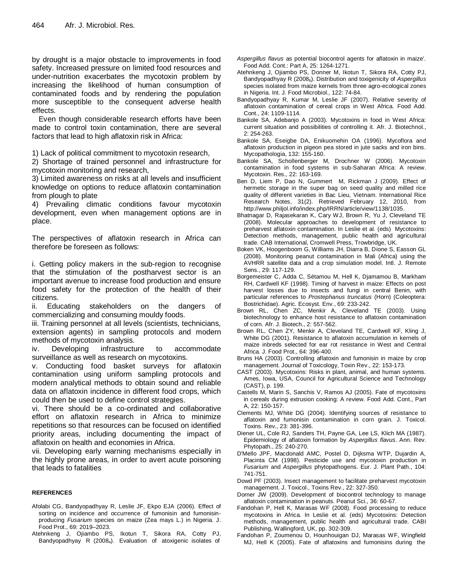by drought is a major obstacle to improvements in food safety. Increased pressure on limited food resources and under-nutrition exacerbates the mycotoxin problem by increasing the likelihood of human consumption of contaminated foods and by rendering the population more susceptible to the consequent adverse health effects.

Even though considerable research efforts have been made to control toxin contamination, there are several factors that lead to high aflatoxin risk in Africa:

1) Lack of political commitment to mycotoxin research,

2) Shortage of trained personnel and infrastructure for mycotoxin monitoring and research,

3) Limited awareness on risks at all levels and insufficient knowledge on options to reduce aflatoxin contamination from plough to plate

4) Prevailing climatic conditions favour mycotoxin development, even when management options are in place.

The perspectives of aflatoxin research in Africa can therefore be foreseen as follows:

i. Getting policy makers in the sub-region to recognise that the stimulation of the postharvest sector is an important avenue to increase food production and ensure food safety for the protection of the health of their citizens.

ii. Educating stakeholders on the dangers of commercializing and consuming mouldy foods.

iii. Training personnel at all levels (scientists, technicians, extension agents) in sampling protocols and modern methods of mycotoxin analysis.

iv. Developing infrastructure to accommodate surveillance as well as research on mycotoxins.

v. Conducting food basket surveys for aflatoxin contamination using uniform sampling protocols and modern analytical methods to obtain sound and reliable data on aflatoxin incidence in different food crops, which could then be used to define control strategies.

vi. There should be a co-ordinated and collaborative effort on aflatoxin research in Africa to minimize repetitions so that resources can be focused on identified priority areas, including documenting the impact of aflatoxin on health and economies in Africa.

vii. Developing early warning mechanisms especially in the highly prone areas, in order to avert acute poisoning that leads to fatalities

#### **REFERENCES**

- Afolabi CG, Bandyopadhyay R, Leslie JF, Ekpo EJA (2006). Effect of sorting on incidence and occurrence of fumonisin and fumonisinproducing *Fusarium* species on maize (Zea mays L.) in Nigeria. J. Food Prot., 69: 2019–2023.
- Atehnkeng J, Ojiambo PS, Ikotun T, Sikora RA, Cotty PJ, Bandyopadhyay R (2008a). Evaluation of atoxigenic isolates of
- *Aspergillus flavus* as potential biocontrol agents for aflatoxin in maize'. Food Add. Cont.: Part A, 25: 1264-1271.
- Atehnkeng J, Ojiambo PS, Donner M, Ikotun T, Sikora RA, Cotty PJ, Bandyopadhyay R (2008<sub>b</sub>). Distribution and toxigenicity of *Aspergillus* species isolated from maize kernels from three agro-ecological zones in Nigeria. Int. J. Food Microbiol., 122: 74-84.
- Bandyopadhyay R, Kumar M, Leslie JF (2007). Relative severity of aflatoxin contamination of cereal crops in West Africa. Food Add. Cont., 24: 1109-1114.
- Bankole SA, Adebanjo A (2003). Mycotoxins in food in West Africa: current situation and possibilities of controlling it. Afr. J. Biotechnol., 2: 254-263.
- Bankole SA, Eseigbe DA, Enikuomehin OA (1996). Mycoflora and aflatoxin production in pigeon pea stored in jute sacks and iron bins. Mycopathologia, 132: 155-160.
- Bankole SA, Schollenberger M, Drochner W (2006). Mycotoxin contamination in food systems in sub-Saharan Africa: A review. Mycotoxin. Res., 22: 163-169.
- Ben D, Liem P, Dao N, Gummert M, Rickman J (2009). Effect of hermetic storage in the super bag on seed quality and milled rice quality of different varieties in Bac Lieu, Vietnam. International Rice Research Notes, 31(2). Retrieved February 12, 2010, from http://www.philjol.info/index.php/IRRN/article/view/1138/1035.
- Bhatnagar D, Rajasekaran K, Cary WJ, Brown R, Yu J, Cleveland TE (2008). Molecular approaches to development of resistance to preharvest aflatoxin contamination. In Leslie et al. (eds) Mycotoxins: Detection methods, management, public health and agricultural trade. CAB International, Cromwell Press, Trowbridge, UK.
- Boken VK, Hoogenboom G, Williams JH, Diarra B, Dione S, Easson GL (2008). Monitoring peanut contamination in Mali (Africa) using the AVHRR satellite data and a crop simulation model. Intl. J. Remote Sens., 29: 117-129.
- Borgemeister C, Adda C, Sétamou M, Hell K, Djamamou B, Markham RH, Cardwell KF (1998). Timing of harvest in maize: Effects on post harvest losses due to insects and fungi in central Benin, with particular references to *Prostephanus truncatus* (Horn) (Coleoptera: Bostrichidae). Agric. Ecosyst. Env., 69: 233-242.
- Brown RL, Chen ZC, Menkir A, Cleveland TE (2003). Using biotechnology to enhance host resistance to aflatoxin contamination of corn. Afr. J. Biotech., 2: 557-562.
- Brown RL, Chen ZY, Menkir A, Cleveland TE, Cardwell KF, Kling J, White DG (2001). Resistance to aflatoxin accumulation in kernels of maize inbreds selected for ear rot resistance in West and Central Africa. J. Food Prot., 64: 396-400.
- Bruns HA (2003). Controlling aflatoxin and fumonisin in maize by crop management. Journal of Toxicology, Toxin Rev., 22: 153-173.
- CAST (2003). Mycotoxins: Risks in plant, animal, and human systems. Ames, Iowa, USA, Council for Agricultural Science and Technology (CAST), p. 199.
- Castells M, Marin S, Sanchis V, Ramos AJ (2005). Fate of mycotoxins in cereals during extrusion cooking: A review. Food Add. Cont., Part A, 22: 150-157.
- Clements MJ, White DG (2004). Identifying sources of resistance to aflatoxin and fumonisin contamination in corn grain. J. Toxicol. Toxins. Rev., 23: 381-396.
- Diener UL, Cole RJ, Sanders TH, Payne GA, Lee LS, Klich MA (1987). Epidemiology of aflatoxin formation by *Aspergillus flavus*. Ann. Rev. Phytopath., 25: 240-270.
- D'Mello JPF, Macdonald AMC, Postel D, Dijksma WTP, Dujardin A, Placinta CM (1998). Pesticide use and mycotoxin production in *Fusarium* and *Aspergillus* phytopathogens. Eur. J. Plant Path., 104: 741-751.
- Dowd PF (2003). Insect management to facilitate preharvest mycotoxin management. J. Toxicol., Toxins Rev., 22: 327-350.
- Dorner JW (2009). Development of biocontrol technology to manage aflatoxin contamination in peanuts. Peanut Sci., 36: 60-67.
- Fandohan P, Hell K, Marasas WF (2008). Food processing to reduce mycotoxins in Africa. In Leslie et al. (eds) Mycotoxins: Detection methods, management, public health and agricultural trade. CABI Publishing, Wallingford, UK, pp. 302-309.
- Fandohan P, Zoumenou D, Hounhouigan DJ, Marasas WF, Wingfield MJ, Hell K (2005). Fate of aflatoxins and fumonisins during the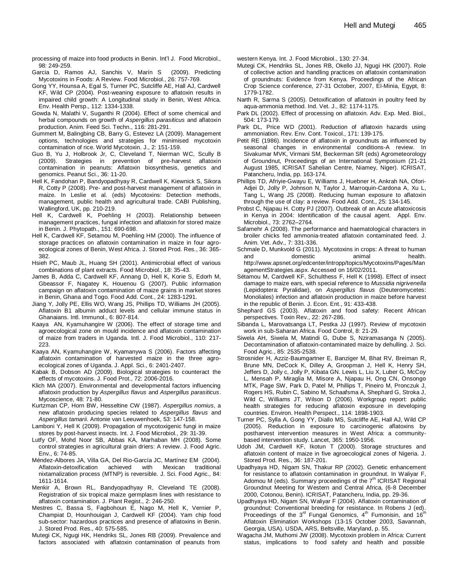processing of maize into food products in Benin. Int'l J. Food Microbiol., 98: 249-259.

- Garcia D, Ramos AJ, Sanchis V, Marín S (2009). Predicting Mycotoxins in Foods: A Review. Food Microbiol., 26: 757-769.
- Gong YY, Hounsa A, Egal S, Turner PC, Sutcliffe AE, Hall AJ, Cardwell KF, Wild CP (2004). Post-weaning exposure to aflatoxin results in impaired child growth: A Longitudinal study in Benin, West Africa. Env. Health Persp., 112: 1334-1338.
- Gowda N, Malathi V, Suganthi R (2004). Effect of some chemical and herbal compounds on growth of *Aspergillus parasiticus* and aflatoxin production. Anim. Feed Sci. Techn., 116: 281-291.
- Gummert M, Balingbing CB, Barry G, Estevez LA (2009). Management options, technologies and strategies for minimised mycotoxin contamination of rice. World Mycotoxin. J., 2: 151-159.
- Guo B, Yu J, Holbrook Jr, C, Cleveland T, Nierman WC, Scully B (2009). Strategies in prevention of pre-harvest aflatoxin contamination in peanuts: Aflatoxin biosynthesis, genetics and genomics. Peanut Sci., 36: 11-20.
- Hell K, Fandohan P, Bandyopadhyay R, Cardwell K, Kiewnick S, Sikora R, Cotty P (2008). Pre- and post-harvest management of aflatoxin in maize. In Leslie et al. (eds) Mycotoxins: Detection methods, management, public health and agricultural trade. CABI Publishing, Wallingford, UK, pp. 210-219.
- Hell K, Cardwell K, Poehling H (2003). Relationship between management practices, fungal infection and aflatoxin for stored maize in Benin. J. Phytopath., 151: 690-698.
- Hell K, Cardwell KF, Setamou M, Poehling HM (2000). The influence of storage practices on aflatoxin contamination in maize in four agroecological zones of Benin, West Africa. J. Stored Prod. Res., 36: 365- 382.
- Hsieh PC, Maub JL, Huang SH (2001). Antimicrobial effect of various combinations of plant extracts. Food Microbiol., 18: 35-43.
- James B, Adda C, Cardwell KF, Annang D, Hell K, Korie S, Edorh M, Gbeassor F, Nagatey K, Houenou G (2007). Public information campaign on aflatoxin contamination of maize grains in market stores in Benin, Ghana and Togo. Food Add. Cont., 24: 1283-1291.
- Jiang Y, Jolly PE, Ellis WO, Wang JS, Phillips TD, Williams JH (2005). Aflatoxin B1 albumin adduct levels and cellular immune status in Ghanaians. Intl. Immunol., 6: 807-814.
- Kaaya AN, Kyamuhangire W (2006). The effect of storage time and agroecological zone on mould incidence and aflatoxin contamination of maize from traders in Uganda. Intl. J. Food Microbiol., 110: 217- 223.
- Kaaya AN, Kyamuhangire W, Kyamanywa S (2006). Factors affecting aflatoxin contamination of harvested maize in the three agroecological zones of Uganda. J. Appl. Sci., 6: 2401-2407.
- Kabak B, Dobson AD (2009). Biological strategies to counteract the effects of mycotoxins. J. Food Prot., 72: 2006-2016.
- Klich MA (2007). Environmental and developmental factors influencing aflatoxin production by *Aspergillus flavus* and *Aspergillus parasiticus*. Mycoscience, 48: 71-80.
- Kurtzman CP, Horn BW, Hesseltine CW (1987). *Aspergillus nomius*, a new aflatoxin producing species related to *Aspergillus flavus* and *Aspergillus tamarii*. Antonie van Leeuwenhoek, 53: 147-158.
- Lamboni Y, Hell K (2009). Propagation of mycotoxigenic fungi in maize stores by post-harvest insects. Int. J. Food Microbiol., 29: 31-39.
- Lutfy OF, Mohd Noor SB, Abbas KA, Marhaban MH (2008). Some control strategies in agricultural grain driers: A review. J. Food Agric. Env., 6: 74-85.
- Méndez-Albores JA, Villa GA, Del Rio-García JC, Martínez EM (2004). Aflatoxin-detoxification achieved with Mexican traditional nixtamalization process (MTNP) is reversible. J. Sci. Food Agric., 84: 1611-1614.
- Menkir A, Brown RL, Bandyopadhyay R, Cleveland TE (2008). Registration of six tropical maize germplasm lines with resistance to aflatoxin contamination. J. Plant Regist., 2: 246-250.
- Mestres C, Bassa S, Fagbohoun E, Nago M, Hell K, Vernier P, Champiat D, Hounhouigan J, Cardwell KF (2004). Yam chip food sub-sector: hazardous practices and presence of aflatoxins in Benin. J. Stored Prod. Res., 40: 575-585.
- Mutegi CK, Ngugi HK, Hendriks SL, Jones RB (2009). Prevalence and factors associated with aflatoxin contamination of peanuts from

western Kenya. Int. J. Food Microbiol., 130: 27-34.

- Mutegi CK, Hendriks SL, Jones RB, Okello JJ, Ngugi HK (2007). Role of collective action and handling practices on aflatoxin contamination of groundnuts: Evidence from Kenya. Proceedings of the African Crop Science conference, 27-31 October, 2007, El-Minia, Egypt, 8: 1779-1782.
- Narth R, Sarma S (2005). Detoxification of aflatoxin in poultry feed by aqua-ammonia method. Ind. Vet. J., 82: 1174-1175.
- Park DL (2002). Effect of processing on aflatoxin. Adv. Exp. Med. Biol., 504: 173-179.
- Park DL, Price WD (2001). Reduction of aflatoxin hazards using ammoniation. Rev. Env. Cont. Toxicol., 171: 139-175.
- Petit RE (1986). Incidence of aflatoxin in groundnuts as influenced by seasonal changes in environmental conditions-A review. In Sivakumar MVK, Virmani SM, Beckerman SR (eds) Agrometeorology of Groundnut, Proceedings of an International Symposium (21-21 August 1985, ICRISAT Sahelian Centre, Niamey, Niger). ICRISAT, Patancheru, India, pp. 163-174.
- Phillips TD, Afriyie-Gwayu E, Williams J, Huebner H, Ankrah NA, Ofori-Adjei D, Jolly P, Johnson N, Taylor J, Marroquin-Cardona A, Xu L, Tang L, Wang JS (2008). Reducing human exposure to aflatoxin through the use of clay: a review. Food Add. Cont., 25: 134-145.
- Probst C, Njapau H. Cotty PJ (2007). Outbreak of an Acute aflatoxicosis in Kenya in 2004: Identification of the causal agent. Appl. Env. Microbiol., 73: 2762–2764.
- Safamehr A (2008). The performance and haematological characters in broiler chicks fed ammonia-treated aflatoxin contaminated feed. J. Anim. Vet. Adv., 7: 331-336.
- Schmale D, Munkvold G (2011). Mycotoxins in crops: A threat to human and domestic animal health. http://www.apsnet.org/edcenter/intropp/topics/Mycotoxins/Pages/Man agementStrategies.aspx. Accessed on 16/02/2011.
- Sétamou M, Cardwell KF, Schulthess F, Hell K (1998). Effect of insect damage to maize ears, with special reference to *Mussidia nigrivenella* (Lepidoptera: Pyralidae), on *Aspergillus flavus* (Deuteromycetes: Monoliales) infection and aflatoxin production in maize before harvest in the republic of Benin. J. Econ. Ent., 91: 433-438.
- Shephard GS (2003). Aflatoxin and food safety: Recent African perspectives. Toxin Rev., 22: 267-286.
- Sibanda L, Marovatsanga LT, Pestka JJ (1997). Review of mycotoxin work in sub-Saharan Africa. Food Control, 8: 21-29.
- Siwela AH, Siwela M, Matindi G, Dube S, Nziramasanga N (2005). Decontamination of aflatoxin-contaminated maize by dehulling. J. Sci. Food Agric., 85: 2535-2538.
- Strosnider H, Azziz-Baumgartner E, Banziger M, Bhat RV, Breiman R, Brune MN, DeCock K, Dilley A, Groopman J, Hell K, Henry SH, Jeffers D, Jolly c, Jolly P, Kibata GN. Lewis L, Liu X, Luber G, McCoy L, Mensah P, Miraglia M, Misore A, Njapau H, Ong CN, Onsongo MTK, Page SW, Park D, Patel M, Phillips T, Pineiro M, Pronczuk J, Rogers HS, Rubin C, Sabino M, Schaafsma A, Shephard G, Stroka J, Wild C, Williams JT, Wilson D (2006). Workgroup report: public health strategies for reducing aflatoxin exposure in developing countries. Environ. Health Perspect., 114: 1898-1903.
- Turner PC, Sylla A, Gong YY, Diallo MS, Sutcliffe AE, Hall AJ, Wild CP (2005). Reduction in exposure to carcinogenic aflatoxins by postharvest intervention measures in West Africa: a communitybased intervention study. Lancet, 365: 1950-1956.
- Udoh JM, Cardwell KF, Ikotun T (2000). Storage structures and aflatoxin content of maize in five agroecological zones of Nigeria. J. Stored Prod. Res., 36: 187-201.
- Upadhyaya HD, Nigam SN, Thakur RP (2002). Genetic enhancement for resistance to aflatoxin contamination in groundnut. In Waliyar F, Adomou M (eds). Summary proceedings of the  $7<sup>th</sup>$  ICRISAT Regional Groundnut Meeting for Western and Central Africa, (6-8 December 2000, Cotonou, Benin). ICRISAT, Patancheru, India, pp. 29-36.
- Upadhyaya HD, Nigam SN, Waliyar F (2004). Aflatoxin contamination of groundnut: Conventional breeding for resistance. In Robens J (ed). Proceedings of the  $3^{rd}$  Fungal Genomics,  $4^{th}$  Fumonisin, and  $16^{th}$ Aflatoxin Elimination Workshops (13-15 October 2003, Savannah, Georgia, USA). USDA, ARS, Beltsville, Maryland, p. 55.
- Wagacha JM, Muthomi JW (2008). Mycotoxin problem in Africa: Current status, implications to food safety and health and possible